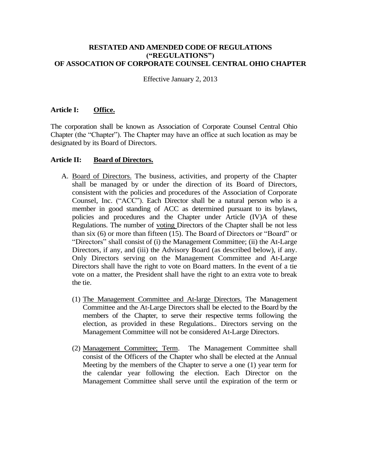#### **RESTATED AND AMENDED CODE OF REGULATIONS ("REGULATIONS") OF ASSOCATION OF CORPORATE COUNSEL CENTRAL OHIO CHAPTER**

Effective January 2, 2013

## **Article I: Office.**

The corporation shall be known as Association of Corporate Counsel Central Ohio Chapter (the "Chapter"). The Chapter may have an office at such location as may be designated by its Board of Directors.

#### **Article II: Board of Directors.**

- A. Board of Directors. The business, activities, and property of the Chapter shall be managed by or under the direction of its Board of Directors, consistent with the policies and procedures of the Association of Corporate Counsel, Inc. ("ACC"). Each Director shall be a natural person who is a member in good standing of ACC as determined pursuant to its bylaws, policies and procedures and the Chapter under Article (IV)A of these Regulations. The number of voting Directors of the Chapter shall be not less than six (6) or more than fifteen (15). The Board of Directors or "Board" or "Directors" shall consist of (i) the Management Committee; (ii) the At-Large Directors, if any, and (iii) the Advisory Board (as described below), if any. Only Directors serving on the Management Committee and At-Large Directors shall have the right to vote on Board matters. In the event of a tie vote on a matter, the President shall have the right to an extra vote to break the tie.
	- (1) The Management Committee and At-large Directors. The Management Committee and the At-Large Directors shall be elected to the Board by the members of the Chapter, to serve their respective terms following the election, as provided in these Regulations.. Directors serving on the Management Committee will not be considered At-Large Directors.
	- (2) Management Committee; Term. The Management Committee shall consist of the Officers of the Chapter who shall be elected at the Annual Meeting by the members of the Chapter to serve a one (1) year term for the calendar year following the election. Each Director on the Management Committee shall serve until the expiration of the term or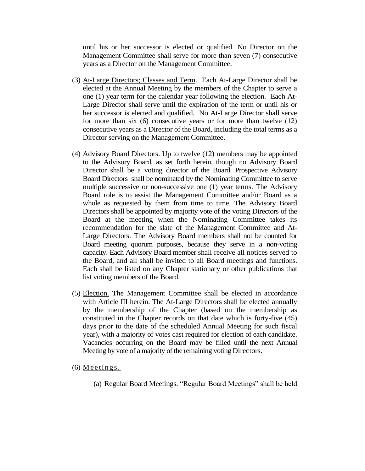until his or her successor is elected or qualified. No Director on the Management Committee shall serve for more than seven (7) consecutive years as a Director on the Management Committee.

- (3) At-Large Directors; Classes and Term. Each At-Large Director shall be elected at the Annual Meeting by the members of the Chapter to serve a one (1) year term for the calendar year following the election. Each At-Large Director shall serve until the expiration of the term or until his or her successor is elected and qualified. No At-Large Director shall serve for more than six (6) consecutive years or for more than twelve (12) consecutive years as a Director of the Board, including the total terms as a Director serving on the Management Committee.
- (4) Advisory Board Directors. Up to twelve (12) members may be appointed to the Advisory Board, as set forth herein, though no Advisory Board Director shall be a voting director of the Board. Prospective Advisory Board Directors shall be nominated by the Nominating Committee to serve multiple successive or non-successive one (1) year terms. The Advisory Board role is to assist the Management Committee and/or Board as a whole as requested by them from time to time. The Advisory Board Directors shall be appointed by majority vote of the voting Directors of the Board at the meeting when the Nominating Committee takes its recommendation for the slate of the Management Committee and At-Large Directors. The Advisory Board members shall not be counted for Board meeting quorum purposes, because they serve in a non-voting capacity. Each Advisory Board member shall receive all notices served to the Board, and all shall be invited to all Board meetings and functions. Each shall be listed on any Chapter stationary or other publications that list voting members of the Board.
- (5) Election. The Management Committee shall be elected in accordance with Article III herein. The At-Large Directors shall be elected annually by the membership of the Chapter (based on the membership as constituted in the Chapter records on that date which is forty-five (45) days prior to the date of the scheduled Annual Meeting for such fiscal year), with a majority of votes cast required for election of each candidate. Vacancies occurring on the Board may be filled until the next Annual Meeting by vote of a majority of the remaining voting Directors.
- $(6)$  Meetings.
	- (a) Regular Board Meetings. "Regular Board Meetings" shall be held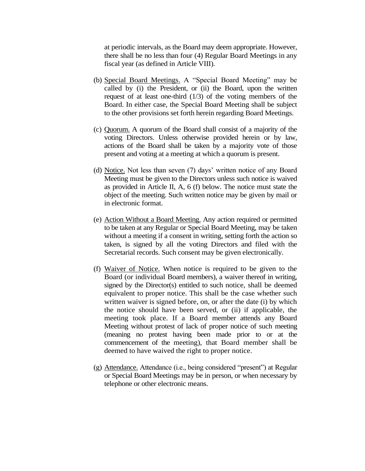at periodic intervals, as the Board may deem appropriate. However, there shall be no less than four (4) Regular Board Meetings in any fiscal year (as defined in Article VIII).

- (b) Special Board Meetings. A "Special Board Meeting" may be called by (i) the President, or (ii) the Board, upon the written request of at least one-third (1/3) of the voting members of the Board. In either case, the Special Board Meeting shall be subject to the other provisions set forth herein regarding Board Meetings.
- (c) Quorum. A quorum of the Board shall consist of a majority of the voting Directors. Unless otherwise provided herein or by law, actions of the Board shall be taken by a majority vote of those present and voting at a meeting at which a quorum is present.
- (d) Notice. Not less than seven (7) days' written notice of any Board Meeting must be given to the Directors unless such notice is waived as provided in Article II, A, 6 (f) below. The notice must state the object of the meeting. Such written notice may be given by mail or in electronic format.
- (e) Action Without a Board Meeting. Any action required or permitted to be taken at any Regular or Special Board Meeting, may be taken without a meeting if a consent in writing, setting forth the action so taken, is signed by all the voting Directors and filed with the Secretarial records. Such consent may be given electronically.
- (f) Waiver of Notice. When notice is required to be given to the Board (or individual Board members), a waiver thereof in writing, signed by the Director(s) entitled to such notice, shall be deemed equivalent to proper notice. This shall be the case whether such written waiver is signed before, on, or after the date (i) by which the notice should have been served, or (ii) if applicable, the meeting took place. If a Board member attends any Board Meeting without protest of lack of proper notice of such meeting (meaning no protest having been made prior to or at the commencement of the meeting), that Board member shall be deemed to have waived the right to proper notice.
- (g) Attendance. Attendance (i.e., being considered "present") at Regular or Special Board Meetings may be in person, or when necessary by telephone or other electronic means.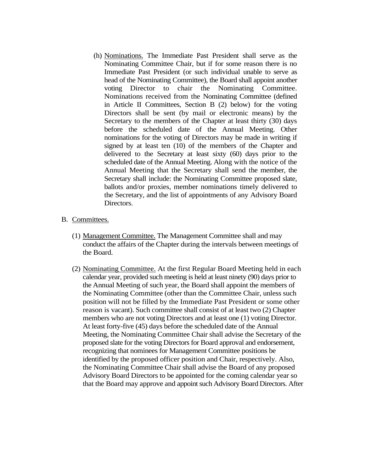(h) Nominations. The Immediate Past President shall serve as the Nominating Committee Chair, but if for some reason there is no Immediate Past President (or such individual unable to serve as head of the Nominating Committee), the Board shall appoint another voting Director to chair the Nominating Committee. Nominations received from the Nominating Committee (defined in Article II Committees, Section B (2) below) for the voting Directors shall be sent (by mail or electronic means) by the Secretary to the members of the Chapter at least thirty (30) days before the scheduled date of the Annual Meeting. Other nominations for the voting of Directors may be made in writing if signed by at least ten (10) of the members of the Chapter and delivered to the Secretary at least sixty (60) days prior to the scheduled date of the Annual Meeting. Along with the notice of the Annual Meeting that the Secretary shall send the member, the Secretary shall include: the Nominating Committee proposed slate, ballots and/or proxies, member nominations timely delivered to the Secretary, and the list of appointments of any Advisory Board Directors.

#### B. Committees.

- (1) Management Committee. The Management Committee shall and may conduct the affairs of the Chapter during the intervals between meetings of the Board.
- (2) Nominating Committee. At the first Regular Board Meeting held in each calendar year, provided such meeting is held at least ninety (90) days prior to the Annual Meeting of such year, the Board shall appoint the members of the Nominating Committee (other than the Committee Chair, unless such position will not be filled by the Immediate Past President or some other reason is vacant). Such committee shall consist of at least two (2) Chapter members who are not voting Directors and at least one (1) voting Director. At least forty-five (45) days before the scheduled date of the Annual Meeting, the Nominating Committee Chair shall advise the Secretary of the proposed slate for the voting Directors for Board approval and endorsement, recognizing that nominees for Management Committee positions be identified by the proposed officer position and Chair, respectively. Also, the Nominating Committee Chair shall advise the Board of any proposed Advisory Board Directors to be appointed for the coming calendar year so that the Board may approve and appoint such Advisory Board Directors. After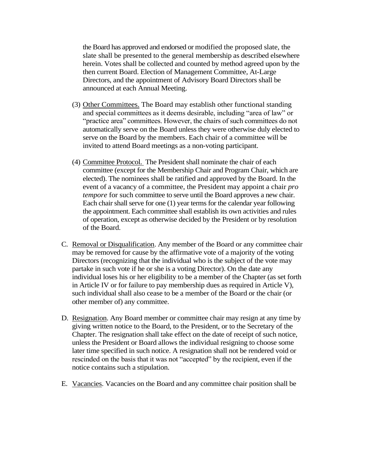the Board has approved and endorsed or modified the proposed slate, the slate shall be presented to the general membership as described elsewhere herein. Votes shall be collected and counted by method agreed upon by the then current Board. Election of Management Committee, At-Large Directors, and the appointment of Advisory Board Directors shall be announced at each Annual Meeting.

- (3) Other Committees. The Board may establish other functional standing and special committees as it deems desirable, including "area of law" or "practice area" committees. However, the chairs of such committees do not automatically serve on the Board unless they were otherwise duly elected to serve on the Board by the members. Each chair of a committee will be invited to attend Board meetings as a non-voting participant.
- (4) Committee Protocol. The President shall nominate the chair of each committee (except for the Membership Chair and Program Chair, which are elected). The nominees shall be ratified and approved by the Board. In the event of a vacancy of a committee, the President may appoint a chair *pro tempore* for such committee to serve until the Board approves a new chair. Each chair shall serve for one (1) year terms for the calendar year following the appointment. Each committee shall establish its own activities and rules of operation, except as otherwise decided by the President or by resolution of the Board.
- C. Removal or Disqualification. Any member of the Board or any committee chair may be removed for cause by the affirmative vote of a majority of the voting Directors (recognizing that the individual who is the subject of the vote may partake in such vote if he or she is a voting Director). On the date any individual loses his or her eligibility to be a member of the Chapter (as set forth in Article IV or for failure to pay membership dues as required in Article V), such individual shall also cease to be a member of the Board or the chair (or other member of) any committee.
- D. Resignation. Any Board member or committee chair may resign at any time by giving written notice to the Board, to the President, or to the Secretary of the Chapter. The resignation shall take effect on the date of receipt of such notice, unless the President or Board allows the individual resigning to choose some later time specified in such notice. A resignation shall not be rendered void or rescinded on the basis that it was not "accepted" by the recipient, even if the notice contains such a stipulation.
- E. Vacancies. Vacancies on the Board and any committee chair position shall be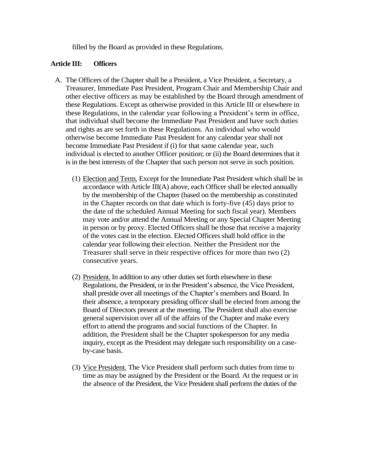filled by the Board as provided in these Regulations.

## **Article III: Officers**

- A. The Officers of the Chapter shall be a President, a Vice President, a Secretary, a Treasurer, Immediate Past President, Program Chair and Membership Chair and other elective officers as may be established by the Board through amendment of these Regulations. Except as otherwise provided in this Article III or elsewhere in these Regulations, in the calendar year following a President's term in office, that individual shall become the Immediate Past President and have such duties and rights as are set forth in these Regulations. An individual who would otherwise become Immediate Past President for any calendar year shall not become Immediate Past President if (i) for that same calendar year, such individual is elected to another Officer position; or (ii) the Board determines that it is in the best interests of the Chapter that such person not serve in such position.
	- (1) Election and Term. Except for the Immediate Past President which shall be in accordance with Article III(A) above, each Officer shall be elected annually by the membership of the Chapter (based on the membership as constituted in the Chapter records on that date which is forty-five (45) days prior to the date of the scheduled Annual Meeting for such fiscal year). Members may vote and/or attend the Annual Meeting or any Special Chapter Meeting in person or by proxy. Elected Officers shall be those that receive a majority of the votes cast in the election. Elected Officers shall hold office in the calendar year following their election. Neither the President nor the Treasurer shall serve in their respective offices for more than two (2) consecutive years.
	- (2) President. In addition to any other duties set forth elsewhere in these Regulations, the President, or in the President's absence, the Vice President, shall preside over all meetings of the Chapter's members and Board. In their absence, a temporary presiding officer shall be elected from among the Board of Directors present at the meeting. The President shall also exercise general supervision over all of the affairs of the Chapter and make every effort to attend the programs and social functions of the Chapter. In addition, the President shall be the Chapter spokesperson for any media inquiry, except as the President may delegate such responsibility on a caseby-case basis.
	- (3) Vice President. The Vice President shall perform such duties from time to time as may be assigned by the President or the Board. At the request or in the absence of the President, the Vice President shall perform the duties of the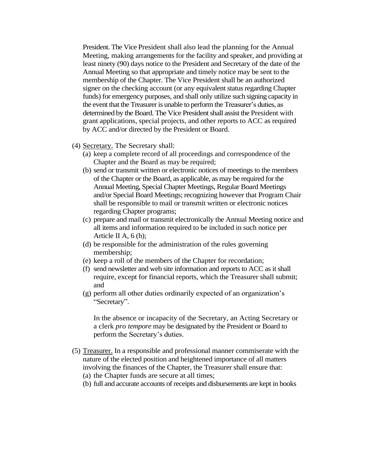President. The Vice President shall also lead the planning for the Annual Meeting, making arrangements for the facility and speaker, and providing at least ninety (90) days notice to the President and Secretary of the date of the Annual Meeting so that appropriate and timely notice may be sent to the membership of the Chapter. The Vice President shall be an authorized signer on the checking account (or any equivalent status regarding Chapter funds) for emergency purposes, and shall only utilize such signing capacity in the event that the Treasurer is unable to perform the Treasurer's duties, as determined by the Board. The Vice President shall assist the President with grant applications, special projects, and other reports to ACC as required by ACC and/or directed by the President or Board.

- (4) Secretary. The Secretary shall:
	- (a) keep a complete record of all proceedings and correspondence of the Chapter and the Board as may be required;
	- (b) send or transmit written or electronic notices of meetings to the members of the Chapter or the Board, as applicable, as may be required for the Annual Meeting, Special Chapter Meetings, Regular Board Meetings and/or Special Board Meetings; recognizing however that Program Chair shall be responsible to mail or transmit written or electronic notices regarding Chapter programs;
	- (c) prepare and mail or transmit electronically the Annual Meeting notice and all items and information required to be included in such notice per Article II A, 6 (h);
	- (d) be responsible for the administration of the rules governing membership;
	- (e) keep a roll of the members of the Chapter for recordation;
	- (f) send newsletter and web site information and reports to ACC as it shall require, except for financial reports, which the Treasurer shall submit; and
	- (g) perform all other duties ordinarily expected of an organization's "Secretary".

In the absence or incapacity of the Secretary, an Acting Secretary or a clerk *pro tempore* may be designated by the President or Board to perform the Secretary's duties.

- (5) Treasurer. In a responsible and professional manner commiserate with the nature of the elected position and heightened importance of all matters involving the finances of the Chapter, the Treasurer shall ensure that:
	- (a) the Chapter funds are secure at all times;
	- (b) full and accurate accounts of receipts and disbursements are kept in books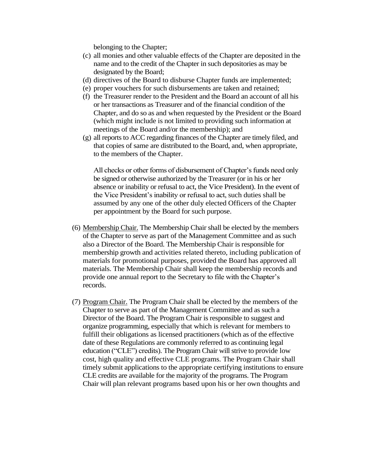belonging to the Chapter;

- (c) all monies and other valuable effects of the Chapter are deposited in the name and to the credit of the Chapter in such depositories as may be designated by the Board;
- (d) directives of the Board to disburse Chapter funds are implemented;
- (e) proper vouchers for such disbursements are taken and retained;
- (f) the Treasurer render to the President and the Board an account of all his or her transactions as Treasurer and of the financial condition of the Chapter, and do so as and when requested by the President or the Board (which might include is not limited to providing such information at meetings of the Board and/or the membership); and
- (g) all reports to ACC regarding finances of the Chapter are timely filed, and that copies of same are distributed to the Board, and, when appropriate, to the members of the Chapter.

All checks or other forms of disbursement of Chapter's funds need only be signed or otherwise authorized by the Treasurer (or in his or her absence or inability or refusal to act, the Vice President). In the event of the Vice President's inability or refusal to act, such duties shall be assumed by any one of the other duly elected Officers of the Chapter per appointment by the Board for such purpose.

- (6) Membership Chair. The Membership Chair shall be elected by the members of the Chapter to serve as part of the Management Committee and as such also a Director of the Board. The Membership Chair is responsible for membership growth and activities related thereto, including publication of materials for promotional purposes, provided the Board has approved all materials. The Membership Chair shall keep the membership records and provide one annual report to the Secretary to file with the Chapter's records.
- (7) Program Chair. The Program Chair shall be elected by the members of the Chapter to serve as part of the Management Committee and as such a Director of the Board. The Program Chair is responsible to suggest and organize programming, especially that which is relevant for members to fulfill their obligations as licensed practitioners (which as of the effective date of these Regulations are commonly referred to as continuing legal education ("CLE") credits). The Program Chair will strive to provide low cost, high quality and effective CLE programs. The Program Chair shall timely submit applications to the appropriate certifying institutions to ensure CLE credits are available for the majority of the programs. The Program Chair will plan relevant programs based upon his or her own thoughts and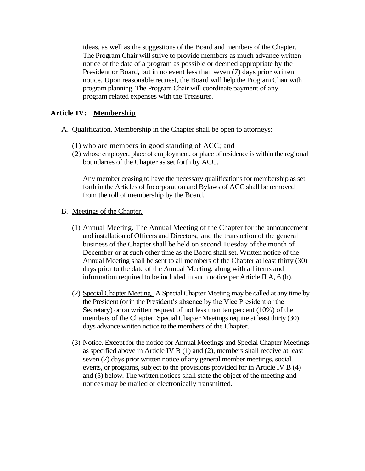ideas, as well as the suggestions of the Board and members of the Chapter. The Program Chair will strive to provide members as much advance written notice of the date of a program as possible or deemed appropriate by the President or Board, but in no event less than seven (7) days prior written notice. Upon reasonable request, the Board will help the Program Chair with program planning. The Program Chair will coordinate payment of any program related expenses with the Treasurer.

# **Article IV: Membership**

- A. Qualification. Membership in the Chapter shall be open to attorneys:
	- (1) who are members in good standing of ACC; and
	- (2) whose employer, place of employment, or place of residence is within the regional boundaries of the Chapter as set forth by ACC.

Any member ceasing to have the necessary qualifications for membership as set forth in the Articles of Incorporation and Bylaws of ACC shall be removed from the roll of membership by the Board.

- B. Meetings of the Chapter.
	- (1) Annual Meeting. The Annual Meeting of the Chapter for the announcement and installation of Officers and Directors, and the transaction of the general business of the Chapter shall be held on second Tuesday of the month of December or at such other time as the Board shall set. Written notice of the Annual Meeting shall be sent to all members of the Chapter at least thirty (30) days prior to the date of the Annual Meeting, along with all items and information required to be included in such notice per Article II A, 6 (h).
	- (2) Special Chapter Meeting. A Special Chapter Meeting may be called at any time by the President (or in the President's absence by the Vice President or the Secretary) or on written request of not less than ten percent (10%) of the members of the Chapter. Special Chapter Meetings require at least thirty (30) days advance written notice to the members of the Chapter.
	- (3) Notice. Except for the notice for Annual Meetings and Special Chapter Meetings as specified above in Article IV B (1) and (2), members shall receive at least seven (7) days prior written notice of any general member meetings, social events, or programs, subject to the provisions provided for in Article IV B (4) and (5) below. The written notices shall state the object of the meeting and notices may be mailed or electronically transmitted.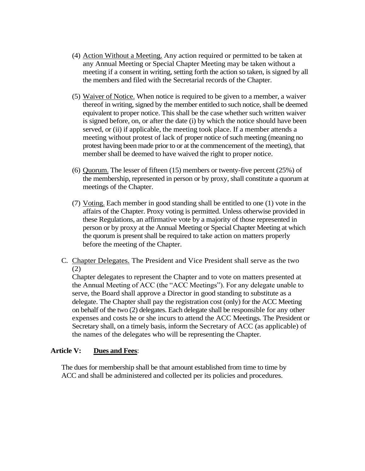- (4) Action Without a Meeting. Any action required or permitted to be taken at any Annual Meeting or Special Chapter Meeting may be taken without a meeting if a consent in writing, setting forth the action so taken, is signed by all the members and filed with the Secretarial records of the Chapter.
- (5) Waiver of Notice. When notice is required to be given to a member, a waiver thereof in writing, signed by the member entitled to such notice, shall be deemed equivalent to proper notice. This shall be the case whether such written waiver is signed before, on, or after the date (i) by which the notice should have been served, or (ii) if applicable, the meeting took place. If a member attends a meeting without protest of lack of proper notice of such meeting (meaning no protest having been made prior to or at the commencement of the meeting), that member shall be deemed to have waived the right to proper notice.
- (6) Quorum. The lesser of fifteen (15) members or twenty-five percent (25%) of the membership, represented in person or by proxy, shall constitute a quorum at meetings of the Chapter.
- (7) Voting. Each member in good standing shall be entitled to one (1) vote in the affairs of the Chapter. Proxy voting is permitted. Unless otherwise provided in these Regulations, an affirmative vote by a majority of those represented in person or by proxy at the Annual Meeting or Special Chapter Meeting at which the quorum is present shall be required to take action on matters properly before the meeting of the Chapter.
- C. Chapter Delegates. The President and Vice President shall serve as the two (2)

Chapter delegates to represent the Chapter and to vote on matters presented at the Annual Meeting of ACC (the "ACC Meetings"). For any delegate unable to serve, the Board shall approve a Director in good standing to substitute as a delegate. The Chapter shall pay the registration cost (only) for the ACC Meeting on behalf of the two (2) delegates. Each delegate shall be responsible for any other expenses and costs he or she incurs to attend the ACC Meetings. The President or Secretary shall, on a timely basis, inform the Secretary of ACC (as applicable) of the names of the delegates who will be representing the Chapter.

### **Article V: Dues and Fees**:

The dues for membership shall be that amount established from time to time by ACC and shall be administered and collected per its policies and procedures.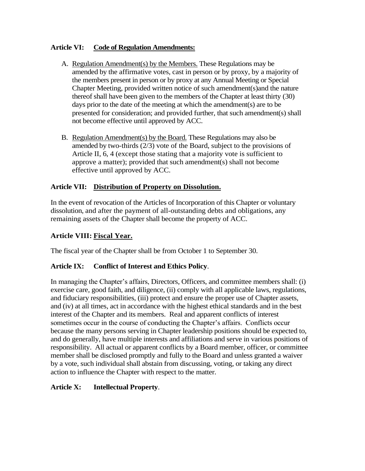# **Article VI: Code of Regulation Amendments:**

- A. Regulation Amendment(s) by the Members. These Regulations may be amended by the affirmative votes, cast in person or by proxy, by a majority of the members present in person or by proxy at any Annual Meeting or Special Chapter Meeting, provided written notice of such amendment(s)and the nature thereof shall have been given to the members of the Chapter at least thirty (30) days prior to the date of the meeting at which the amendment(s) are to be presented for consideration; and provided further, that such amendment(s) shall not become effective until approved by ACC.
- B. Regulation Amendment(s) by the Board. These Regulations may also be amended by two-thirds (2/3) vote of the Board, subject to the provisions of Article II, 6, 4 (except those stating that a majority vote is sufficient to approve a matter); provided that such amendment(s) shall not become effective until approved by ACC.

# **Article VII: Distribution of Property on Dissolution.**

In the event of revocation of the Articles of Incorporation of this Chapter or voluntary dissolution, and after the payment of all-outstanding debts and obligations, any remaining assets of the Chapter shall become the property of ACC.

# **Article VIII: Fiscal Year.**

The fiscal year of the Chapter shall be from October 1 to September 30.

# **Article IX: Conflict of Interest and Ethics Policy**.

In managing the Chapter's affairs, Directors, Officers, and committee members shall: (i) exercise care, good faith, and diligence, (ii) comply with all applicable laws, regulations, and fiduciary responsibilities, (iii) protect and ensure the proper use of Chapter assets, and (iv) at all times, act in accordance with the highest ethical standards and in the best interest of the Chapter and its members. Real and apparent conflicts of interest sometimes occur in the course of conducting the Chapter's affairs. Conflicts occur because the many persons serving in Chapter leadership positions should be expected to, and do generally, have multiple interests and affiliations and serve in various positions of responsibility. All actual or apparent conflicts by a Board member, officer, or committee member shall be disclosed promptly and fully to the Board and unless granted a waiver by a vote, such individual shall abstain from discussing, voting, or taking any direct action to influence the Chapter with respect to the matter.

# **Article X: Intellectual Property**.